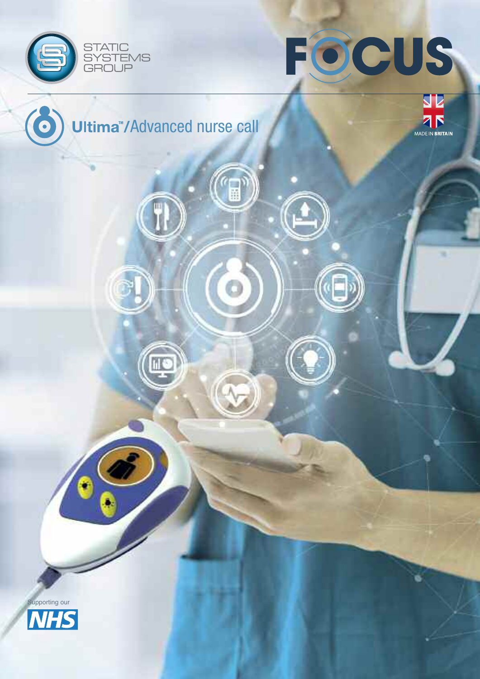



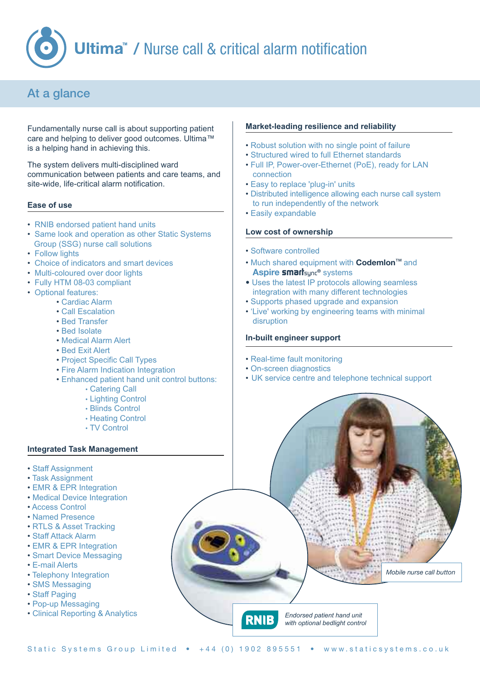

## At a glance

Fundamentally nurse call is about supporting patient care and helping to deliver good outcomes. Ultima™ is a helping hand in achieving this.

The system delivers multi-disciplined ward communication between patients and care teams, and site-wide, life-critical alarm notification.

#### **Ease of use**

- RNIB endorsed patient hand units
- Same look and operation as other Static Systems Group (SSG) nurse call solutions
- Follow lights
- Choice of indicators and smart devices
- Multi-coloured over door lights
- Fully HTM 08-03 compliant
- Optional features:
	- Cardiac Alarm
	- Call Escalation
	- Bed Transfer
	- Bed Isolate
	- Medical Alarm Alert
	- Bed Exit Alert
	- Project Specific Call Types
	- Fire Alarm Indication Integration
	- Enhanced patient hand unit control buttons:
		- Catering Call
		- Lighting Control
		- Blinds Control
		- Heating Control
		- TV Control

### **Integrated Task Management**

- Staff Assignment
- Task Assignment
- EMR & EPR Integration
- Medical Device Integration
- Access Control
- Named Presence
- RTLS & Asset Tracking
- Staff Attack Alarm
- EMR & EPR Integration
- Smart Device Messaging
- E-mail Alerts
- Telephony Integration
- SMS Messaging
- Staff Paging
- Pop-up Messaging
- Clinical Reporting & Analytics

#### **Market-leading resilience and reliability**

- Robust solution with no single point of failure
- Structured wired to full Ethernet standards
- Full IP, Power-over-Ethernet (PoE), ready for LAN connection
- Easy to replace 'plug-in' units
- Distributed intelligence allowing each nurse call system to run independently of the network
- Easily expandable

#### **Low cost of ownership**

- Software controlled
- Much shared equipment with **Codemlon**™ and **Aspire smart**sync**®** systems
- Uses the latest IP protocols allowing seamless integration with many different technologies
- Supports phased upgrade and expansion
- 'Live' working by engineering teams with minimal disruption

#### **In-built engineer support**

- Real-time fault monitoring
- On-screen diagnostics
- UK service centre and telephone technical support

*Endorsed patient hand unit with optional bedlight control* *Mobile nurse call button*

Static Systems Group Limited • +44 (0) 1902 895551 • www.staticsystems.co.uk

**RNIE**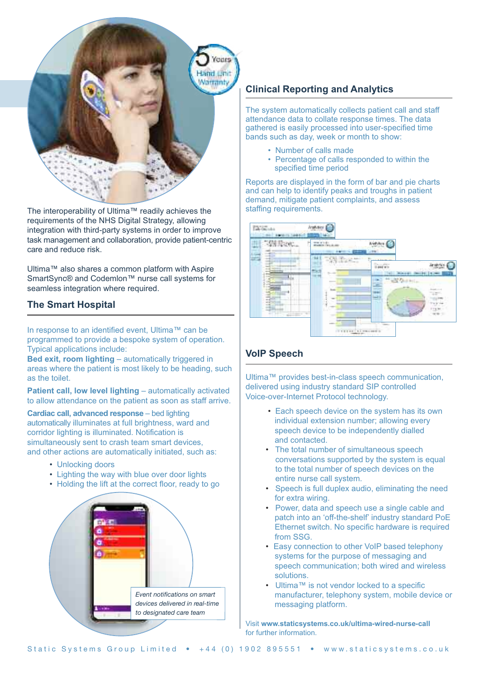

The interoperability of Ultima™ readily achieves the requirements of the NHS Digital Strategy, allowing integration with third-party systems in order to improve task management and collaboration, provide patient-centric care and reduce risk.

Ultima™ also shares a common platform with Aspire SmartSync® and Codemlon™ nurse call systems for seamless integration where required.

## **The Smart Hospital**

In response to an identified event, Ultima™ can be programmed to provide a bespoke system of operation. Typical applications include:

**Bed exit, room lighting** – automatically triggered in areas where the patient is most likely to be heading, such as the toilet.

**Patient call, low level lighting** – automatically activated to allow attendance on the patient as soon as staff arrive.

**Cardiac call, advanced response** – bed lighting automatically illuminates at full brightness, ward and corridor lighting is illuminated. Notification is simultaneously sent to crash team smart devices, and other actions are automatically initiated, such as:

- Unlocking doors
- Lighting the way with blue over door lights
- Holding the lift at the correct floor, ready to go



## **Clinical Reporting and Analytics**

The system automatically collects patient call and staff attendance data to collate response times. The data gathered is easily processed into user-specified time bands such as day, week or month to show:

- Number of calls made
- Percentage of calls responded to within the specified time period

Reports are displayed in the form of bar and pie charts and can help to identify peaks and troughs in patient demand, mitigate patient complaints, and assess staffing requirements.



## **VoIP Speech**

Ultima™ provides best-in-class speech communication, delivered using industry standard SIP controlled Voice-over-Internet Protocol technology.

- Each speech device on the system has its own individual extension number; allowing every speech device to be independently dialled and contacted.
- The total number of simultaneous speech conversations supported by the system is equal to the total number of speech devices on the entire nurse call system.
- Speech is full duplex audio, eliminating the need for extra wiring.
- Power, data and speech use a single cable and patch into an 'off-the-shelf' industry standard PoE Ethernet switch. No specific hardware is required from SSG.
- Easy connection to other VoIP based telephony systems for the purpose of messaging and speech communication; both wired and wireless solutions.
- Ultima™ is not vendor locked to a specific manufacturer, telephony system, mobile device or messaging platform.

Visit **www.staticsystems.co.uk/ultima-wired-nurse-call** for further information.